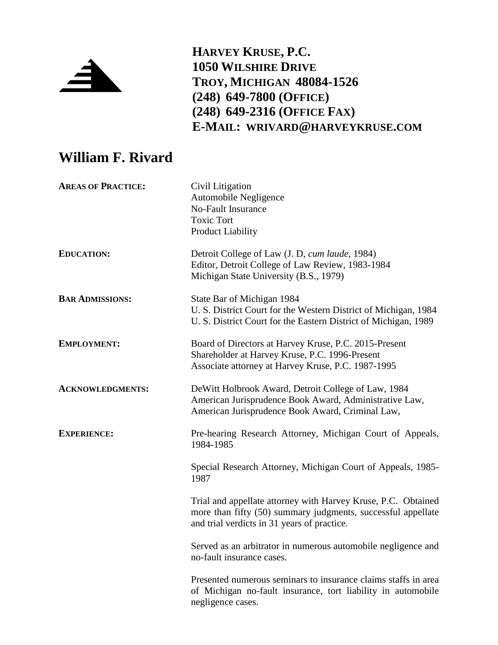

**HARVEY KRUSE, P.C. 1050 WILSHIRE DRIVE TROY, MICHIGAN 48084-1526 (248) 649-7800 (OFFICE) (248) 649-2316 (OFFICE FAX) E-MAIL: WRIVARD@HARVEYKRUSE.COM**

## **William F. Rivard**

| <b>AREAS OF PRACTICE:</b> | Civil Litigation<br>Automobile Negligence<br><b>No-Fault Insurance</b><br><b>Toxic Tort</b><br><b>Product Liability</b>                                                      |
|---------------------------|------------------------------------------------------------------------------------------------------------------------------------------------------------------------------|
| <b>EDUCATION:</b>         | Detroit College of Law (J. D, cum laude, 1984)<br>Editor, Detroit College of Law Review, 1983-1984<br>Michigan State University (B.S., 1979)                                 |
| <b>BAR ADMISSIONS:</b>    | State Bar of Michigan 1984<br>U. S. District Court for the Western District of Michigan, 1984<br>U. S. District Court for the Eastern District of Michigan, 1989             |
| <b>EMPLOYMENT:</b>        | Board of Directors at Harvey Kruse, P.C. 2015-Present<br>Shareholder at Harvey Kruse, P.C. 1996-Present<br>Associate attorney at Harvey Kruse, P.C. 1987-1995                |
| <b>ACKNOWLEDGMENTS:</b>   | DeWitt Holbrook Award, Detroit College of Law, 1984<br>American Jurisprudence Book Award, Administrative Law,<br>American Jurisprudence Book Award, Criminal Law,            |
| <b>EXPERIENCE:</b>        | Pre-hearing Research Attorney, Michigan Court of Appeals,<br>1984-1985                                                                                                       |
|                           | Special Research Attorney, Michigan Court of Appeals, 1985-<br>1987                                                                                                          |
|                           | Trial and appellate attorney with Harvey Kruse, P.C. Obtained<br>more than fifty (50) summary judgments, successful appellate<br>and trial verdicts in 31 years of practice. |
|                           | Served as an arbitrator in numerous automobile negligence and<br>no-fault insurance cases.                                                                                   |
|                           | Presented numerous seminars to insurance claims staffs in area<br>of Michigan no-fault insurance, tort liability in automobile<br>negligence cases.                          |